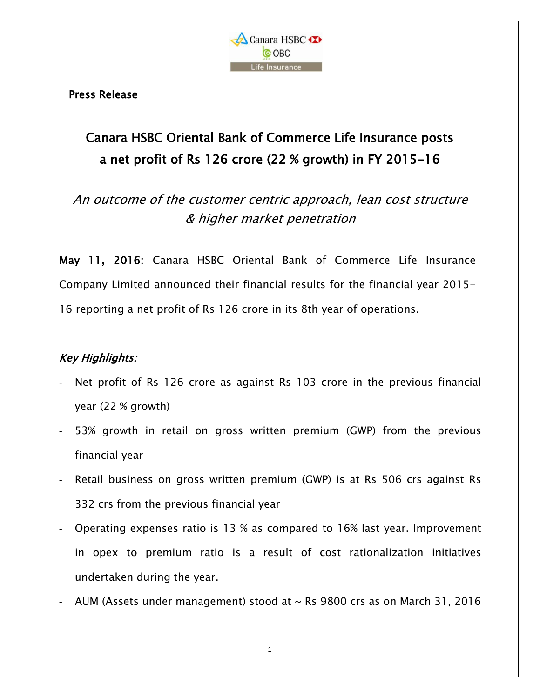

Press Release

## Canara HSBC Oriental Bank of Commerce Life Insurance posts a net profit of Rs 126 crore (22 % growth) in FY 2015-16

An outcome of the customer centric approach, lean cost structure & higher market penetration

May 11, 2016: Canara HSBC Oriental Bank of Commerce Life Insurance Company Limited announced their financial results for the financial year 2015- 16 reporting a net profit of Rs 126 crore in its 8th year of operations.

## Key Highlights:

- Net profit of Rs 126 crore as against Rs 103 crore in the previous financial year (22 % growth)
- 53% growth in retail on gross written premium (GWP) from the previous financial year
- Retail business on gross written premium (GWP) is at Rs 506 crs against Rs 332 crs from the previous financial year
- Operating expenses ratio is 13 % as compared to 16% last year. Improvement in opex to premium ratio is a result of cost rationalization initiatives undertaken during the year.
- AUM (Assets under management) stood at  $\sim$  Rs 9800 crs as on March 31, 2016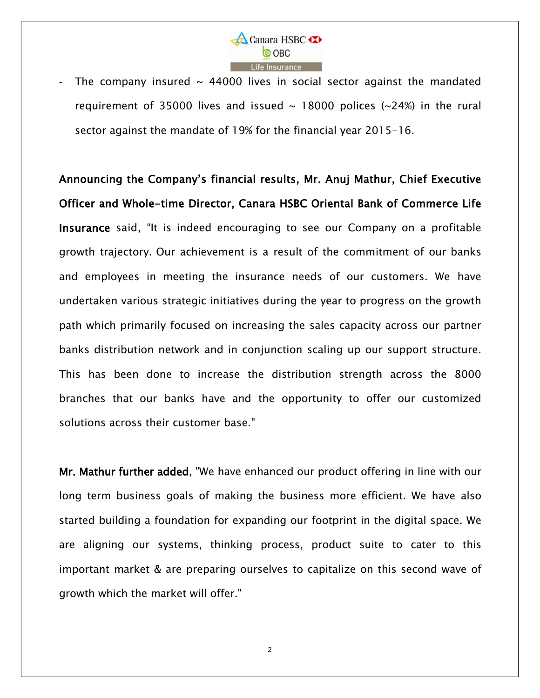

The company insured  $\sim$  44000 lives in social sector against the mandated requirement of 35000 lives and issued  $\sim$  18000 polices ( $\sim$ 24%) in the rural sector against the mandate of 19% for the financial year 2015-16.

Announcing the Company's financial results, Mr. Anuj Mathur, Chief Executive Officer and Whole-time Director, Canara HSBC Oriental Bank of Commerce Life Insurance said, "It is indeed encouraging to see our Company on a profitable growth trajectory. Our achievement is a result of the commitment of our banks and employees in meeting the insurance needs of our customers. We have undertaken various strategic initiatives during the year to progress on the growth path which primarily focused on increasing the sales capacity across our partner banks distribution network and in conjunction scaling up our support structure. This has been done to increase the distribution strength across the 8000 branches that our banks have and the opportunity to offer our customized solutions across their customer base."

Mr. Mathur further added, "We have enhanced our product offering in line with our long term business goals of making the business more efficient. We have also started building a foundation for expanding our footprint in the digital space. We are aligning our systems, thinking process, product suite to cater to this important market & are preparing ourselves to capitalize on this second wave of growth which the market will offer."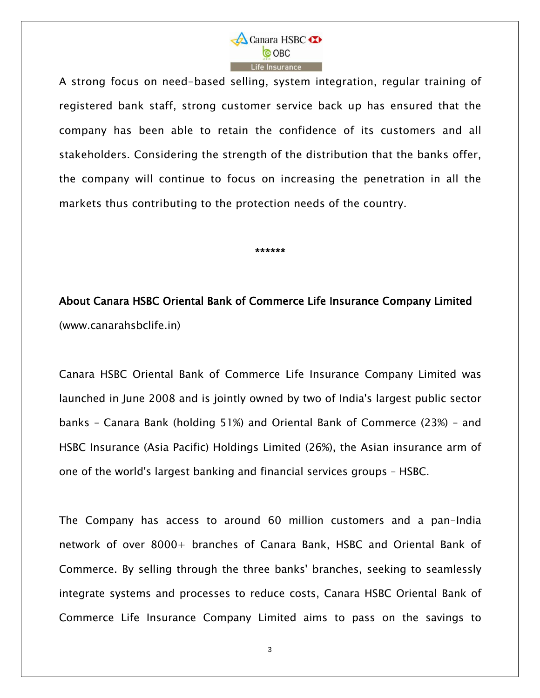

A strong focus on need-based selling, system integration, regular training of registered bank staff, strong customer service back up has ensured that the company has been able to retain the confidence of its customers and all stakeholders. Considering the strength of the distribution that the banks offer, the company will continue to focus on increasing the penetration in all the markets thus contributing to the protection needs of the country.

\*\*\*\*\*\*

About Canara HSBC Oriental Bank of Commerce Life Insurance Company Limited [\(www.canarahsbclife.in\)](http://www.canarahsbclife.in/)

Canara HSBC Oriental Bank of Commerce Life Insurance Company Limited was launched in June 2008 and is jointly owned by two of India's largest public sector banks – Canara Bank (holding 51%) and Oriental Bank of Commerce (23%) – and HSBC Insurance (Asia Pacific) Holdings Limited (26%), the Asian insurance arm of one of the world's largest banking and financial services groups – HSBC.

The Company has access to around 60 million customers and a pan-India network of over 8000+ branches of Canara Bank, HSBC and Oriental Bank of Commerce. By selling through the three banks' branches, seeking to seamlessly integrate systems and processes to reduce costs, Canara HSBC Oriental Bank of Commerce Life Insurance Company Limited aims to pass on the savings to